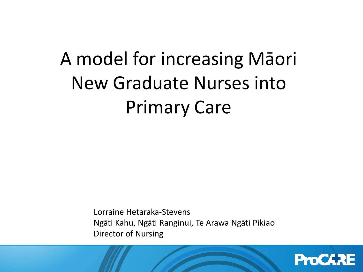# A model for increasing Māori New Graduate Nurses into Primary Care

Lorraine Hetaraka-Stevens Ngāti Kahu, Ngāti Ranginui, Te Arawa Ngāti Pikiao Director of Nursing

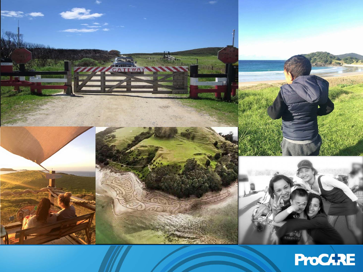

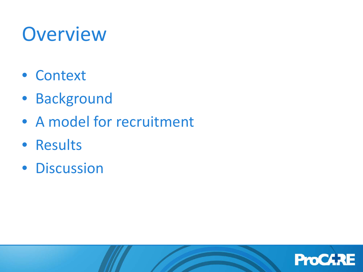# **Overview**

- Context
- Background
- A model for recruitment
- Results
- Discussion

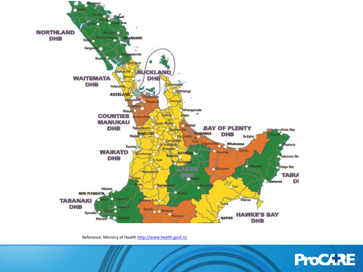

Reference: Ministry of Health [http://www.health.govt.nz](http://www.health.govt.nz/)

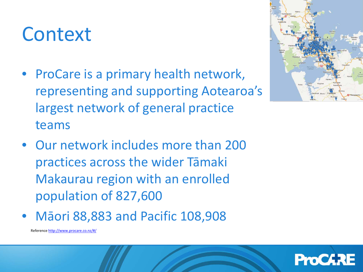#### **Context**

- ProCare is a primary health network, representing and supporting Aotearoa's largest network of general practice teams
- Our network includes more than 200 practices across the wider Tāmaki Makaurau region with an enrolled population of 827,600
- Māori 88,883 and Pacific 108,908





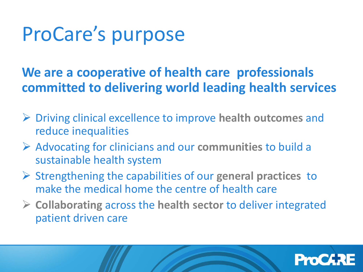# ProCare's purpose

#### **We are a cooperative of health care professionals committed to delivering world leading health services**

- Driving clinical excellence to improve **health outcomes** and reduce inequalities
- Advocating for clinicians and our **communities** to build a sustainable health system
- Strengthening the capabilities of our **general practices** to make the medical home the centre of health care
- **Collaborating** across the **health sector** to deliver integrated patient driven care

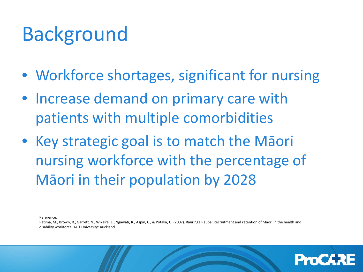## Background

- Workforce shortages, significant for nursing
- Increase demand on primary care with patients with multiple comorbidities
- Key strategic goal is to match the Māori nursing workforce with the percentage of Māori in their population by 2028

Reference:

Ratima, M., Brown, R., Garrett, N., Wikaire, E., Ngawati, R., Aspin, C., & Potaka, U. (2007). Rauringa Raupa: Recruitment and retention of Maori in the health and disability workforce. AUT University: Auckland.

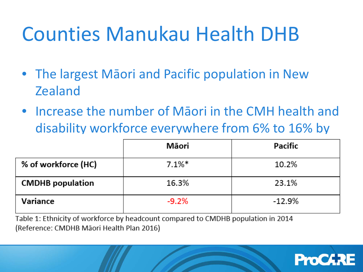# Counties Manukau Health DHB

- The largest Māori and Pacific population in New Zealand
- Increase the number of Māori in the CMH health and disability workforce everywhere from 6% to 16% by

|                         | Māori                | Pacific  |
|-------------------------|----------------------|----------|
| % of workforce (HC)     | $7.1\%$ <sup>*</sup> | 10.2%    |
| <b>CMDHB</b> population | 16.3%                | 23.1%    |
| Variance                | $-9.2%$              | $-12.9%$ |

Table 1: Ethnicity of workforce by headcount compared to CMDHB population in 2014 (Reference: CMDHB Māori Health Plan 2016)

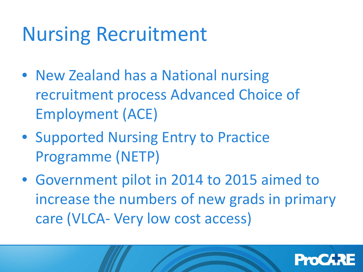### Nursing Recruitment

- New Zealand has a National nursing recruitment process Advanced Choice of Employment (ACE)
- Supported Nursing Entry to Practice Programme (NETP)
- Government pilot in 2014 to 2015 aimed to increase the numbers of new grads in primary care (VLCA- Very low cost access)

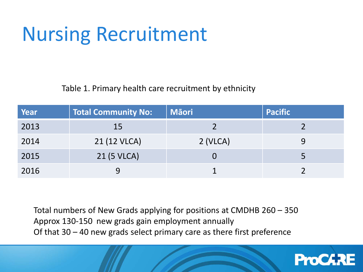# Nursing Recruitment

Table 1. Primary health care recruitment by ethnicity

| <b>Year</b> | <b>Total Community No:</b> | <b>Māori</b> | <b>Pacific</b> |
|-------------|----------------------------|--------------|----------------|
| 2013        | 15                         |              |                |
| 2014        | 21 (12 VLCA)               | $2$ (VLCA)   |                |
| 2015        | 21 (5 VLCA)                |              |                |
| 2016        |                            |              |                |

Total numbers of New Grads applying for positions at CMDHB 260 – 350 Approx 130-150 new grads gain employment annually Of that 30 – 40 new grads select primary care as there first preference

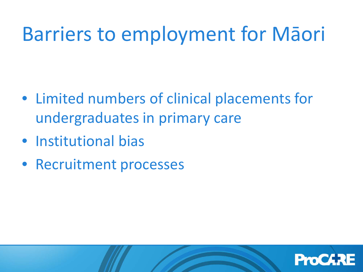# Barriers to employment for Māori

- Limited numbers of clinical placements for undergraduates in primary care
- Institutional bias
- Recruitment processes

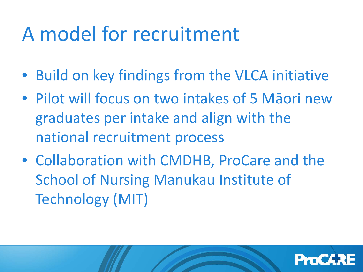# A model for recruitment

- Build on key findings from the VLCA initiative
- Pilot will focus on two intakes of 5 Māori new graduates per intake and align with the national recruitment process
- Collaboration with CMDHB, ProCare and the School of Nursing Manukau Institute of Technology (MIT)

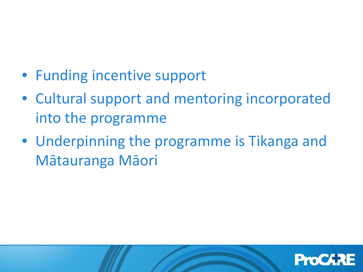- Funding incentive support
- Cultural support and mentoring incorporated into the programme
- Underpinning the programme is Tikanga and Mātauranga Māori

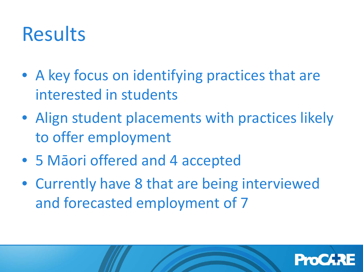### **Results**

- A key focus on identifying practices that are interested in students
- Align student placements with practices likely to offer employment
- 5 Māori offered and 4 accepted
- Currently have 8 that are being interviewed and forecasted employment of 7

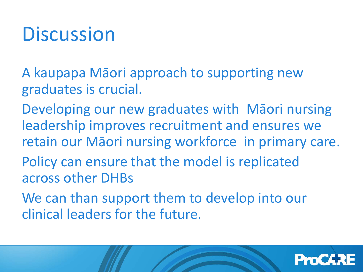### **Discussion**

A kaupapa Māori approach to supporting new graduates is crucial.

Developing our new graduates with Māori nursing leadership improves recruitment and ensures we retain our Māori nursing workforce in primary care.

Policy can ensure that the model is replicated across other DHBs

We can than support them to develop into our clinical leaders for the future.